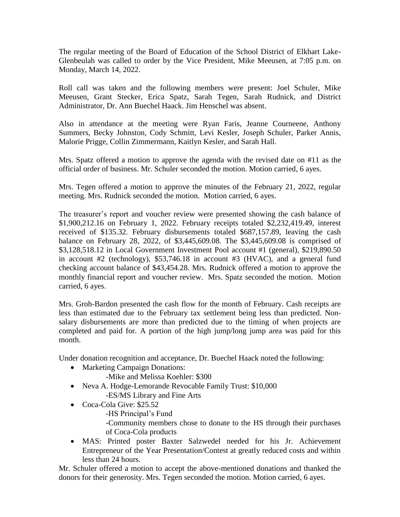The regular meeting of the Board of Education of the School District of Elkhart Lake-Glenbeulah was called to order by the Vice President, Mike Meeusen, at 7:05 p.m. on Monday, March 14, 2022.

Roll call was taken and the following members were present: Joel Schuler, Mike Meeusen, Grant Stecker, Erica Spatz, Sarah Tegen, Sarah Rudnick, and District Administrator, Dr. Ann Buechel Haack. Jim Henschel was absent.

Also in attendance at the meeting were Ryan Faris, Jeanne Courneene, Anthony Summers, Becky Johnston, Cody Schmitt, Levi Kesler, Joseph Schuler, Parker Annis, Malorie Prigge, Collin Zimmermann, Kaitlyn Kesler, and Sarah Hall.

Mrs. Spatz offered a motion to approve the agenda with the revised date on #11 as the official order of business. Mr. Schuler seconded the motion. Motion carried, 6 ayes.

Mrs. Tegen offered a motion to approve the minutes of the February 21, 2022, regular meeting. Mrs. Rudnick seconded the motion. Motion carried, 6 ayes.

The treasurer's report and voucher review were presented showing the cash balance of \$1,900,212.16 on February 1, 2022. February receipts totaled \$2,232,419.49, interest received of \$135.32. February disbursements totaled \$687,157.89, leaving the cash balance on February 28, 2022, of \$3,445,609.08. The \$3,445,609.08 is comprised of \$3,128,518.12 in Local Government Investment Pool account #1 (general), \$219,890.50 in account #2 (technology), \$53,746.18 in account #3 (HVAC), and a general fund checking account balance of \$43,454.28. Mrs. Rudnick offered a motion to approve the monthly financial report and voucher review. Mrs. Spatz seconded the motion. Motion carried, 6 ayes.

Mrs. Groh-Bardon presented the cash flow for the month of February. Cash receipts are less than estimated due to the February tax settlement being less than predicted. Nonsalary disbursements are more than predicted due to the timing of when projects are completed and paid for. A portion of the high jump/long jump area was paid for this month.

Under donation recognition and acceptance, Dr. Buechel Haack noted the following:

- Marketing Campaign Donations:
	- -Mike and Melissa Koehler: \$300
- Neva A. Hodge-Lemorande Revocable Family Trust: \$10,000 -ES/MS Library and Fine Arts
- Coca-Cola Give: \$25.52
	- -HS Principal's Fund

-Community members chose to donate to the HS through their purchases of Coca-Cola products

• MAS: Printed poster Baxter Salzwedel needed for his Jr. Achievement Entrepreneur of the Year Presentation/Contest at greatly reduced costs and within less than 24 hours.

Mr. Schuler offered a motion to accept the above-mentioned donations and thanked the donors for their generosity. Mrs. Tegen seconded the motion. Motion carried, 6 ayes.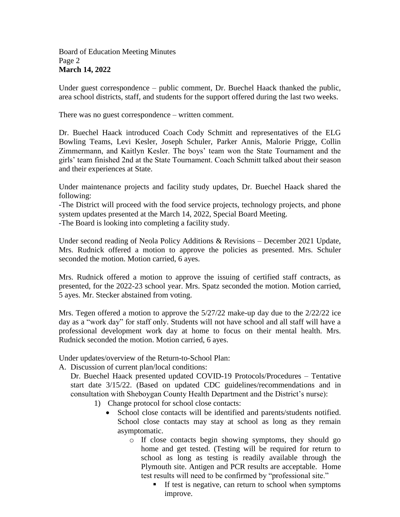Under guest correspondence – public comment, Dr. Buechel Haack thanked the public, area school districts, staff, and students for the support offered during the last two weeks.

There was no guest correspondence – written comment.

Dr. Buechel Haack introduced Coach Cody Schmitt and representatives of the ELG Bowling Teams, Levi Kesler, Joseph Schuler, Parker Annis, Malorie Prigge, Collin Zimmermann, and Kaitlyn Kesler. The boys' team won the State Tournament and the girls' team finished 2nd at the State Tournament. Coach Schmitt talked about their season and their experiences at State.

Under maintenance projects and facility study updates, Dr. Buechel Haack shared the following:

-The District will proceed with the food service projects, technology projects, and phone system updates presented at the March 14, 2022, Special Board Meeting. -The Board is looking into completing a facility study.

Under second reading of Neola Policy Additions & Revisions – December 2021 Update, Mrs. Rudnick offered a motion to approve the policies as presented. Mrs. Schuler seconded the motion. Motion carried, 6 ayes.

Mrs. Rudnick offered a motion to approve the issuing of certified staff contracts, as presented, for the 2022-23 school year. Mrs. Spatz seconded the motion. Motion carried, 5 ayes. Mr. Stecker abstained from voting.

Mrs. Tegen offered a motion to approve the  $5/27/22$  make-up day due to the  $2/22/22$  ice day as a "work day" for staff only. Students will not have school and all staff will have a professional development work day at home to focus on their mental health. Mrs. Rudnick seconded the motion. Motion carried, 6 ayes.

Under updates/overview of the Return-to-School Plan:

A. Discussion of current plan/local conditions:

Dr. Buechel Haack presented updated COVID-19 Protocols/Procedures – Tentative start date 3/15/22. (Based on updated CDC guidelines/recommendations and in consultation with Sheboygan County Health Department and the District's nurse):

- 1) Change protocol for school close contacts:
	- School close contacts will be identified and parents/students notified. School close contacts may stay at school as long as they remain asymptomatic.
		- o If close contacts begin showing symptoms, they should go home and get tested. (Testing will be required for return to school as long as testing is readily available through the Plymouth site. Antigen and PCR results are acceptable. Home test results will need to be confirmed by "professional site."
			- **If test is negative, can return to school when symptoms** improve.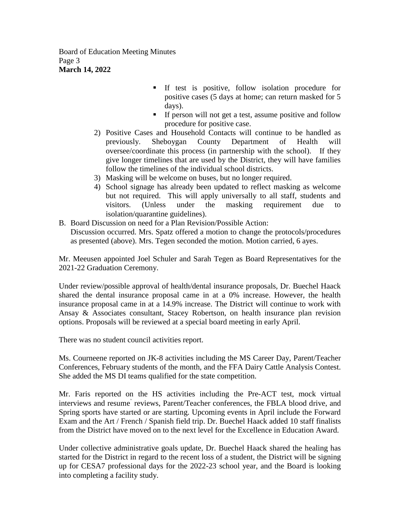Board of Education Meeting Minutes Page 3 **March 14, 2022**

- If test is positive, follow isolation procedure for positive cases (5 days at home; can return masked for 5 days).
- **If person will not get a test, assume positive and follow** procedure for positive case.
- 2) Positive Cases and Household Contacts will continue to be handled as previously. Sheboygan County Department of Health will oversee/coordinate this process (in partnership with the school). If they give longer timelines that are used by the District, they will have families follow the timelines of the individual school districts.
- 3) Masking will be welcome on buses, but no longer required.
- 4) School signage has already been updated to reflect masking as welcome but not required. This will apply universally to all staff, students and visitors. (Unless under the masking requirement due to isolation/quarantine guidelines).
- B. Board Discussion on need for a Plan Revision/Possible Action: Discussion occurred. Mrs. Spatz offered a motion to change the protocols/procedures as presented (above). Mrs. Tegen seconded the motion. Motion carried, 6 ayes.

Mr. Meeusen appointed Joel Schuler and Sarah Tegen as Board Representatives for the 2021-22 Graduation Ceremony.

Under review/possible approval of health/dental insurance proposals, Dr. Buechel Haack shared the dental insurance proposal came in at a 0% increase. However, the health insurance proposal came in at a 14.9% increase. The District will continue to work with Ansay & Associates consultant, Stacey Robertson, on health insurance plan revision options. Proposals will be reviewed at a special board meeting in early April.

There was no student council activities report.

Ms. Courneene reported on JK-8 activities including the MS Career Day, Parent/Teacher Conferences, February students of the month, and the FFA Dairy Cattle Analysis Contest. She added the MS DI teams qualified for the state competition.

Mr. Faris reported on the HS activities including the Pre-ACT test, mock virtual interviews and resume' reviews, Parent/Teacher conferences, the FBLA blood drive, and Spring sports have started or are starting. Upcoming events in April include the Forward Exam and the Art / French / Spanish field trip. Dr. Buechel Haack added 10 staff finalists from the District have moved on to the next level for the Excellence in Education Award.

Under collective administrative goals update, Dr. Buechel Haack shared the healing has started for the District in regard to the recent loss of a student, the District will be signing up for CESA7 professional days for the 2022-23 school year, and the Board is looking into completing a facility study.